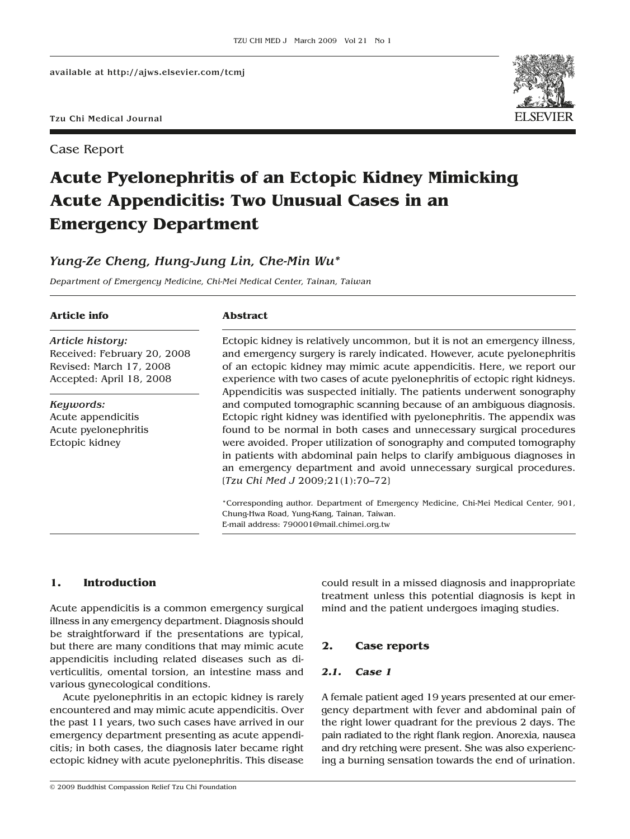Case Report



# **Acute Pyelonephritis of an Ectopic Kidney Mimicking Acute Appendicitis: Two Unusual Cases in an Emergency Department**

# *Yung-Ze Cheng, Hung-Jung Lin, Che-Min Wu\**

*Department of Emergency Medicine, Chi-Mei Medical Center, Tainan, Taiwan*

#### **Article info**

#### **Abstract**

*Article history:* Received: February 20, 2008 Revised: March 17, 2008 Accepted: April 18, 2008

*Keywords:* Acute appendicitis Acute pyelonephritis Ectopic kidney

Ectopic kidney is relatively uncommon, but it is not an emergency illness, and emergency surgery is rarely indicated. However, acute pyelonephritis of an ectopic kidney may mimic acute appendicitis. Here, we report our experience with two cases of acute pyelonephritis of ectopic right kidneys. Appendicitis was suspected initially. The patients underwent sonography and computed tomographic scanning because of an ambiguous diagnosis. Ectopic right kidney was identified with pyelonephritis. The appendix was found to be normal in both cases and unnecessary surgical procedures were avoided. Proper utilization of sonography and computed tomography in patients with abdominal pain helps to clarify ambiguous diagnoses in an emergency department and avoid unnecessary surgical procedures. [*Tzu Chi Med J* 2009;21(1):70–72]

\*Corresponding author. Department of Emergency Medicine, Chi-Mei Medical Center, 901, Chung-Hwa Road, Yung-Kang, Tainan, Taiwan. E-mail address: 790001@mail.chimei.org.tw

## **1. Introduction**

Acute appendicitis is a common emergency surgical illness in any emergency department. Diagnosis should be straightforward if the presentations are typical, but there are many conditions that may mimic acute appendicitis including related diseases such as diverticulitis, omental torsion, an intestine mass and various gynecological conditions.

Acute pyelonephritis in an ectopic kidney is rarely encountered and may mimic acute appendicitis. Over the past 11 years, two such cases have arrived in our emergency department presenting as acute appendicitis; in both cases, the diagnosis later became right ectopic kidney with acute pyelonephritis. This disease

© 2009 Buddhist Compassion Relief Tzu Chi Foundation

could result in a missed diagnosis and inappropriate treatment unless this potential diagnosis is kept in mind and the patient undergoes imaging studies.

## **2. Case reports**

## *2.1. Case 1*

A female patient aged 19 years presented at our emergency department with fever and abdominal pain of the right lower quadrant for the previous 2 days. The pain radiated to the right flank region. Anorexia, nausea and dry retching were present. She was also experiencing a burning sensation towards the end of urination.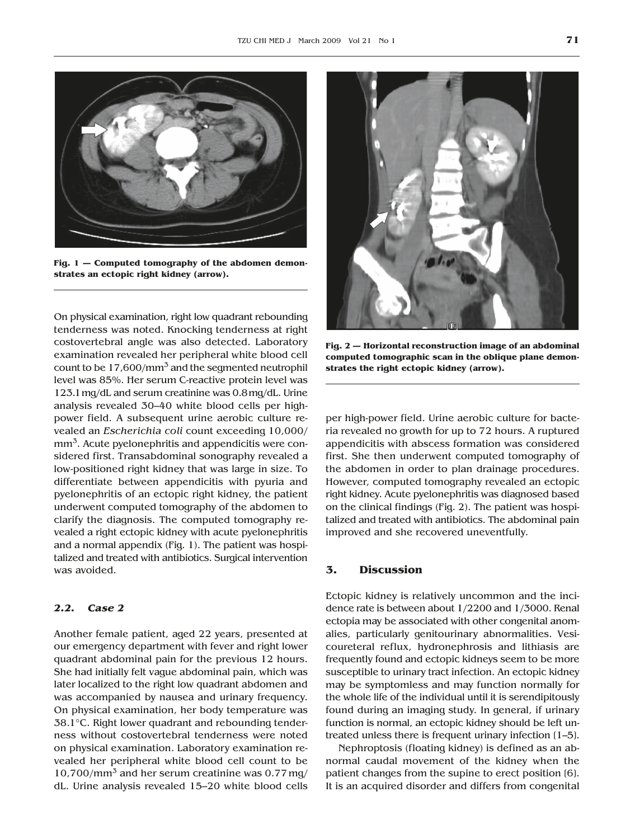

**Fig. 1 — Computed tomography of the abdomen demonstrates an ectopic right kidney (arrow).**

On physical examination, right low quadrant rebounding tenderness was noted. Knocking tenderness at right costovertebral angle was also detected. Laboratory examination revealed her peripheral white blood cell count to be  $17,600/\text{mm}^3$  and the segmented neutrophil level was 85%. Her serum C-reactive protein level was 123.1 mg/dL and serum creatinine was 0.8 mg/dL. Urine analysis revealed 30–40 white blood cells per highpower field. A subsequent urine aerobic culture revealed an *Escherichia coli* count exceeding 10,000/ mm<sup>3</sup>. Acute pyelonephritis and appendicitis were considered first. Transabdominal sonography revealed a low-positioned right kidney that was large in size. To differentiate between appendicitis with pyuria and pyelonephritis of an ectopic right kidney, the patient underwent computed tomography of the abdomen to clarify the diagnosis. The computed tomography revealed a right ectopic kidney with acute pyelonephritis and a normal appendix (Fig. 1). The patient was hospitalized and treated with antibiotics. Surgical intervention was avoided.

## *2.2. Case 2*

Another female patient, aged 22 years, presented at our emergency department with fever and right lower quadrant abdominal pain for the previous 12 hours. She had initially felt vague abdominal pain, which was later localized to the right low quadrant abdomen and was accompanied by nausea and urinary frequency. On physical examination, her body temperature was 38.1°C. Right lower quadrant and rebounding tenderness without costovertebral tenderness were noted on physical examination. Laboratory examination revealed her peripheral white blood cell count to be  $10,700/\text{mm}^3$  and her serum creatinine was 0.77 mg/ dL. Urine analysis revealed 15–20 white blood cells



**Fig. 2 — Horizontal reconstruction image of an abdominal computed tomographic scan in the oblique plane demonstrates the right ectopic kidney (arrow).**

per high-power field. Urine aerobic culture for bacteria revealed no growth for up to 72 hours. A ruptured appendicitis with abscess formation was considered first. She then underwent computed tomography of the abdomen in order to plan drainage procedures. However, computed tomography revealed an ectopic right kidney. Acute pyelonephritis was diagnosed based on the clinical findings (Fig. 2). The patient was hospitalized and treated with antibiotics. The abdominal pain improved and she recovered uneventfully.

#### **3. Discussion**

Ectopic kidney is relatively uncommon and the incidence rate is between about 1/2200 and 1/3000. Renal ectopia may be associated with other congenital anomalies, particularly genitourinary abnormalities. Vesicoureteral reflux, hydronephrosis and lithiasis are frequently found and ectopic kidneys seem to be more susceptible to urinary tract infection. An ectopic kidney may be symptomless and may function normally for the whole life of the individual until it is serendipitously found during an imaging study. In general, if urinary function is normal, an ectopic kidney should be left untreated unless there is frequent urinary infection [1–5].

Nephroptosis (floating kidney) is defined as an abnormal caudal movement of the kidney when the patient changes from the supine to erect position [6]. It is an acquired disorder and differs from congenital